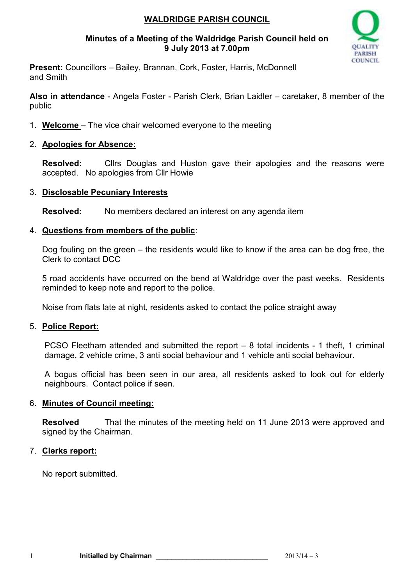### **WALDRIDGE PARISH COUNCIL**

#### **Minutes of a Meeting of the Waldridge Parish Council held on 9 July 2013 at 7.00pm**



**Present:** Councillors – Bailey, Brannan, Cork, Foster, Harris, McDonnell and Smith

**Also in attendance** - Angela Foster - Parish Clerk, Brian Laidler – caretaker, 8 member of the public

- 1. **Welcome**  The vice chair welcomed everyone to the meeting
- 2. **Apologies for Absence:**

**Resolved:** Cllrs Douglas and Huston gave their apologies and the reasons were accepted. No apologies from Cllr Howie

#### 3. **Disclosable Pecuniary Interests**

**Resolved:** No members declared an interest on any agenda item

#### 4. **Questions from members of the public**:

Dog fouling on the green – the residents would like to know if the area can be dog free, the Clerk to contact DCC

5 road accidents have occurred on the bend at Waldridge over the past weeks. Residents reminded to keep note and report to the police.

Noise from flats late at night, residents asked to contact the police straight away

#### 5. **Police Report:**

PCSO Fleetham attended and submitted the report – 8 total incidents - 1 theft, 1 criminal damage, 2 vehicle crime, 3 anti social behaviour and 1 vehicle anti social behaviour.

A bogus official has been seen in our area, all residents asked to look out for elderly neighbours. Contact police if seen.

### 6. **Minutes of Council meeting:**

**Resolved** That the minutes of the meeting held on 11 June 2013 were approved and signed by the Chairman.

### 7. **Clerks report:**

No report submitted.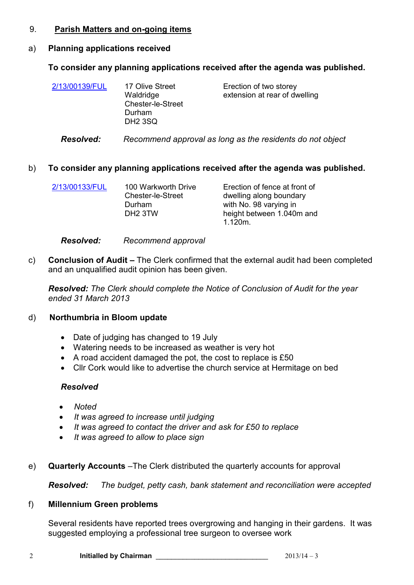#### 9. **Parish Matters and on-going items**

## a) **Planning applications received**

## **To consider any planning applications received after the agenda was published.**

| 2/13/00139/FUL | 17 Olive Street<br>Waldridge       | Erection of two storey<br>extension at rear of dwelling |
|----------------|------------------------------------|---------------------------------------------------------|
|                | <b>Chester-le-Street</b><br>Durham |                                                         |
|                | DH <sub>2</sub> 3SQ                |                                                         |

## *Resolved: Recommend approval as long as the residents do not object*

# b) **To consider any planning applications received after the agenda was published.**

| 2/13/00133/FUL | 100 Warkworth Drive<br><b>Chester-le-Street</b><br>Durham<br>DH <sub>2</sub> 3TW | Erection of fence at front of<br>dwelling along boundary<br>with No. 98 varying in<br>height between 1.040m and |
|----------------|----------------------------------------------------------------------------------|-----------------------------------------------------------------------------------------------------------------|
|                |                                                                                  | $1.120m$ .                                                                                                      |

## *Resolved: Recommend approval*

c) **Conclusion of Audit –** The Clerk confirmed that the external audit had been completed and an unqualified audit opinion has been given.

*Resolved: The Clerk should complete the Notice of Conclusion of Audit for the year ended 31 March 2013* 

# d) **Northumbria in Bloom update**

- Date of judging has changed to 19 July
- Watering needs to be increased as weather is very hot
- A road accident damaged the pot, the cost to replace is £50
- Cllr Cork would like to advertise the church service at Hermitage on bed

# *Resolved*

- *Noted*
- *It was agreed to increase until judging*
- *It was agreed to contact the driver and ask for £50 to replace*
- *It was agreed to allow to place sign*
- e) **Quarterly Accounts** –The Clerk distributed the quarterly accounts for approval

*Resolved: The budget, petty cash, bank statement and reconciliation were accepted* 

# f) **Millennium Green problems**

Several residents have reported trees overgrowing and hanging in their gardens. It was suggested employing a professional tree surgeon to oversee work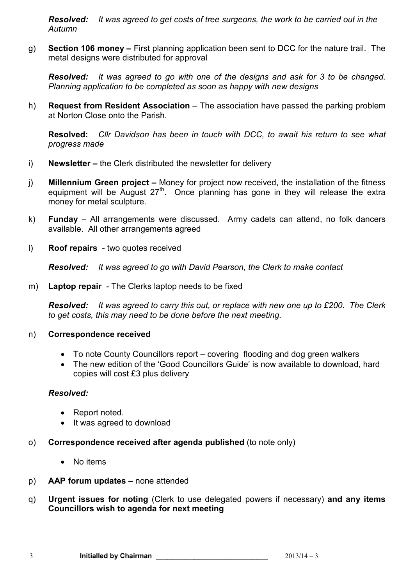*Resolved: It was agreed to get costs of tree surgeons, the work to be carried out in the Autumn* 

g) **Section 106 money –** First planning application been sent to DCC for the nature trail. The metal designs were distributed for approval

*Resolved: It was agreed to go with one of the designs and ask for 3 to be changed. Planning application to be completed as soon as happy with new designs* 

h) **Request from Resident Association** – The association have passed the parking problem at Norton Close onto the Parish.

**Resolved:** *Cllr Davidson has been in touch with DCC, to await his return to see what progress made* 

- i) **Newsletter** the Clerk distributed the newsletter for delivery
- j) **Millennium Green project** Money for project now received, the installation of the fitness equipment will be August  $27<sup>th</sup>$ . Once planning has gone in they will release the extra money for metal sculpture.
- k) **Funday**  All arrangements were discussed. Army cadets can attend, no folk dancers available. All other arrangements agreed
- l) **Roof repairs**  two quotes received

*Resolved: It was agreed to go with David Pearson, the Clerk to make contact*

m) **Laptop repair** - The Clerks laptop needs to be fixed

*Resolved: It was agreed to carry this out, or replace with new one up to £200. The Clerk to get costs, this may need to be done before the next meeting.* 

#### n) **Correspondence received**

- To note County Councillors report covering flooding and dog green walkers
- The new edition of the 'Good Councillors Guide' is now available to download, hard copies will cost £3 plus delivery

### *Resolved:*

- Report noted.
- It was agreed to download
- o) **Correspondence received after agenda published** (to note only)
	- No items
- p) **AAP forum updates**  none attended
- q) **Urgent issues for noting** (Clerk to use delegated powers if necessary) **and any items Councillors wish to agenda for next meeting**